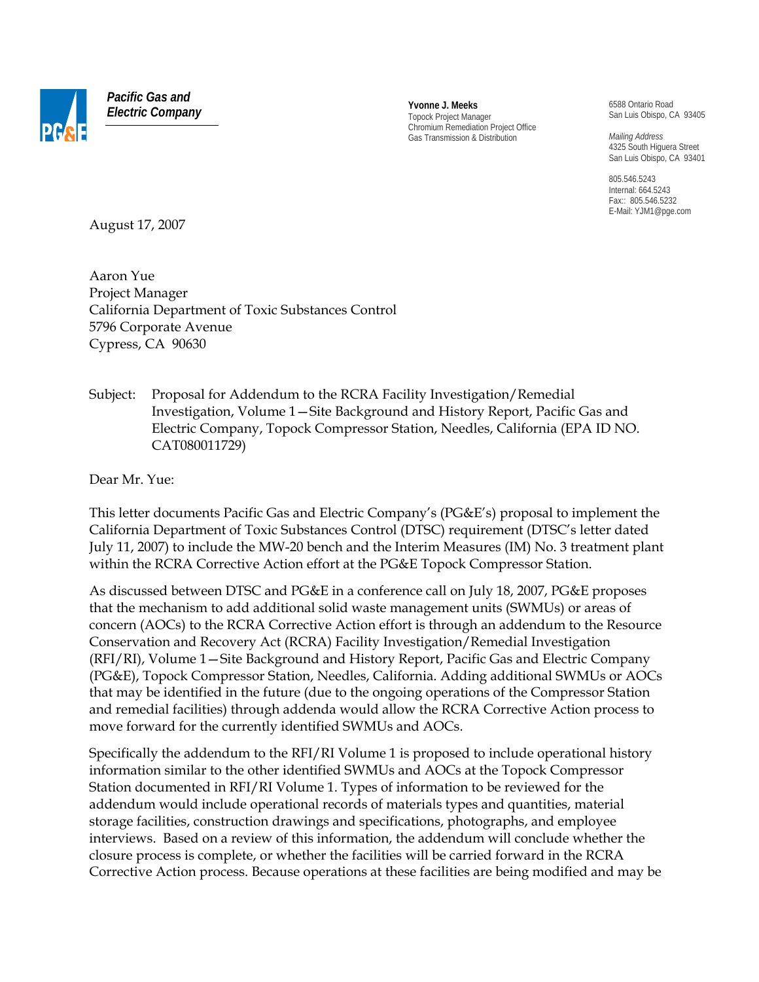

*Pacific Gas and Electric Company* **Yvonne J. Meeks**

Topock Project Manager Chromium Remediation Project Office Gas Transmission & Distribution

6588 Ontario Road San Luis Obispo, CA 93405

*Mailing Address*  4325 South Higuera Street San Luis Obispo, CA 93401

805.546.5243 Internal: 664.5243 Fax:: 805.546.5232 E-Mail: YJM1@pge.com

August 17, 2007

Aaron Yue Project Manager California Department of Toxic Substances Control 5796 Corporate Avenue Cypress, CA 90630

Subject: Proposal for Addendum to the RCRA Facility Investigation/Remedial Investigation, Volume 1—Site Background and History Report, Pacific Gas and Electric Company, Topock Compressor Station, Needles, California (EPA ID NO. CAT080011729)

Dear Mr. Yue:

This letter documents Pacific Gas and Electric Company's (PG&E's) proposal to implement the California Department of Toxic Substances Control (DTSC) requirement (DTSC's letter dated July 11, 2007) to include the MW-20 bench and the Interim Measures (IM) No. 3 treatment plant within the RCRA Corrective Action effort at the PG&E Topock Compressor Station.

As discussed between DTSC and PG&E in a conference call on July 18, 2007, PG&E proposes that the mechanism to add additional solid waste management units (SWMUs) or areas of concern (AOCs) to the RCRA Corrective Action effort is through an addendum to the Resource Conservation and Recovery Act (RCRA) Facility Investigation/ Remedial Investigation (RFI/RI), Volume 1—Site Background and History Report, Pacific Gas and Electric Company (PG&E), Topock Compressor Station, Needles, California. Adding additional SWMUs or AOCs that may be identified in the future (due to the ongoing operations of the Compressor Station and remedial facilities) through addenda would allow the RCRA Corrective Action process to move forward for the currently identified SWMUs and AOCs.

Specifically the addendum to the RFI/RI Volume 1 is proposed to include operational history information similar to the other identified SWMUs and AOCs at the Topock Compressor Station documented in RFI/RI Volume 1. Types of information to be reviewed for the addendum would include operational records of materials types and quantities, material storage facilities, construction drawings and specifications, photographs, and employee interviews. Based on a review of this information, the addendum will conclude whether the closure process is complete, or whether the facilities will be carried forward in the RCRA Corrective Action process. Because operations at these facilities are being modified and may be